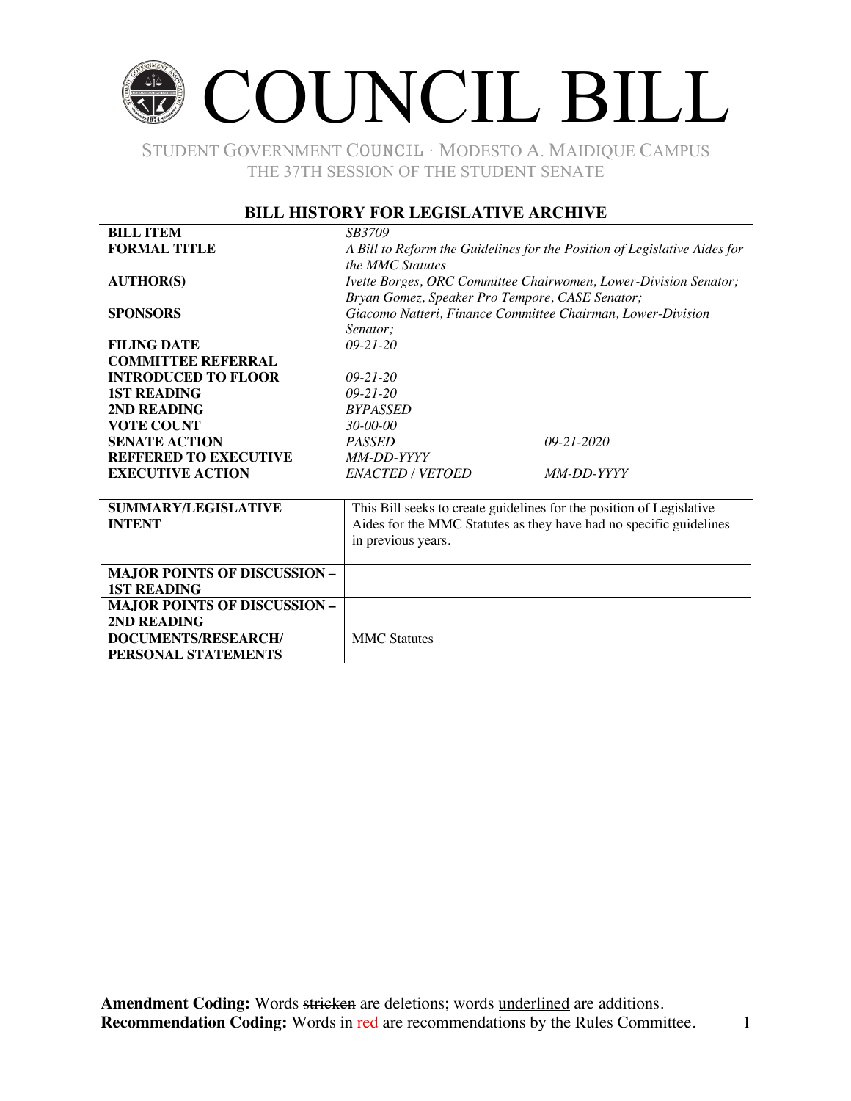### COUNCIL BILL

STUDENT GOVERNMENT COUNCIL ∙ MODESTO A. MAIDIQUE CAMPUS THE 37TH SESSION OF THE STUDENT SENATE

#### **BILL HISTORY FOR LEGISLATIVE ARCHIVE**

| <b>BILL ITEM</b>                    | <i>SB3709</i>                                                             |                                                                      |  |
|-------------------------------------|---------------------------------------------------------------------------|----------------------------------------------------------------------|--|
| <b>FORMAL TITLE</b>                 | A Bill to Reform the Guidelines for the Position of Legislative Aides for |                                                                      |  |
|                                     | the MMC Statutes                                                          |                                                                      |  |
| <b>AUTHOR(S)</b>                    | Ivette Borges, ORC Committee Chairwomen, Lower-Division Senator;          |                                                                      |  |
|                                     | Bryan Gomez, Speaker Pro Tempore, CASE Senator;                           |                                                                      |  |
| <b>SPONSORS</b>                     | Giacomo Natteri, Finance Committee Chairman, Lower-Division               |                                                                      |  |
|                                     | Senator:                                                                  |                                                                      |  |
| <b>FILING DATE</b>                  | $09 - 21 - 20$                                                            |                                                                      |  |
| <b>COMMITTEE REFERRAL</b>           |                                                                           |                                                                      |  |
| <b>INTRODUCED TO FLOOR</b>          | $09 - 21 - 20$                                                            |                                                                      |  |
| <b>1ST READING</b>                  | $09 - 21 - 20$                                                            |                                                                      |  |
| 2ND READING                         | <b>BYPASSED</b>                                                           |                                                                      |  |
| <b>VOTE COUNT</b>                   | $30 - 00 - 00$                                                            |                                                                      |  |
| <b>SENATE ACTION</b>                | <b>PASSED</b>                                                             | $09 - 21 - 2020$                                                     |  |
| <b>REFFERED TO EXECUTIVE</b>        | MM-DD-YYYY                                                                |                                                                      |  |
| <b>EXECUTIVE ACTION</b>             | <b>ENACTED / VETOED</b>                                                   | MM-DD-YYYY                                                           |  |
|                                     |                                                                           |                                                                      |  |
| <b>SUMMARY/LEGISLATIVE</b>          |                                                                           | This Bill seeks to create guidelines for the position of Legislative |  |
| <b>INTENT</b>                       | Aides for the MMC Statutes as they have had no specific guidelines        |                                                                      |  |
|                                     | in previous years.                                                        |                                                                      |  |
|                                     |                                                                           |                                                                      |  |
| <b>MAJOR POINTS OF DISCUSSION -</b> |                                                                           |                                                                      |  |
| <b>1ST READING</b>                  |                                                                           |                                                                      |  |
| <b>MAJOR POINTS OF DISCUSSION -</b> |                                                                           |                                                                      |  |
| 2ND READING                         |                                                                           |                                                                      |  |
| DOCUMENTS/RESEARCH/                 | <b>MMC</b> Statutes                                                       |                                                                      |  |
| PERSONAL STATEMENTS                 |                                                                           |                                                                      |  |
|                                     |                                                                           |                                                                      |  |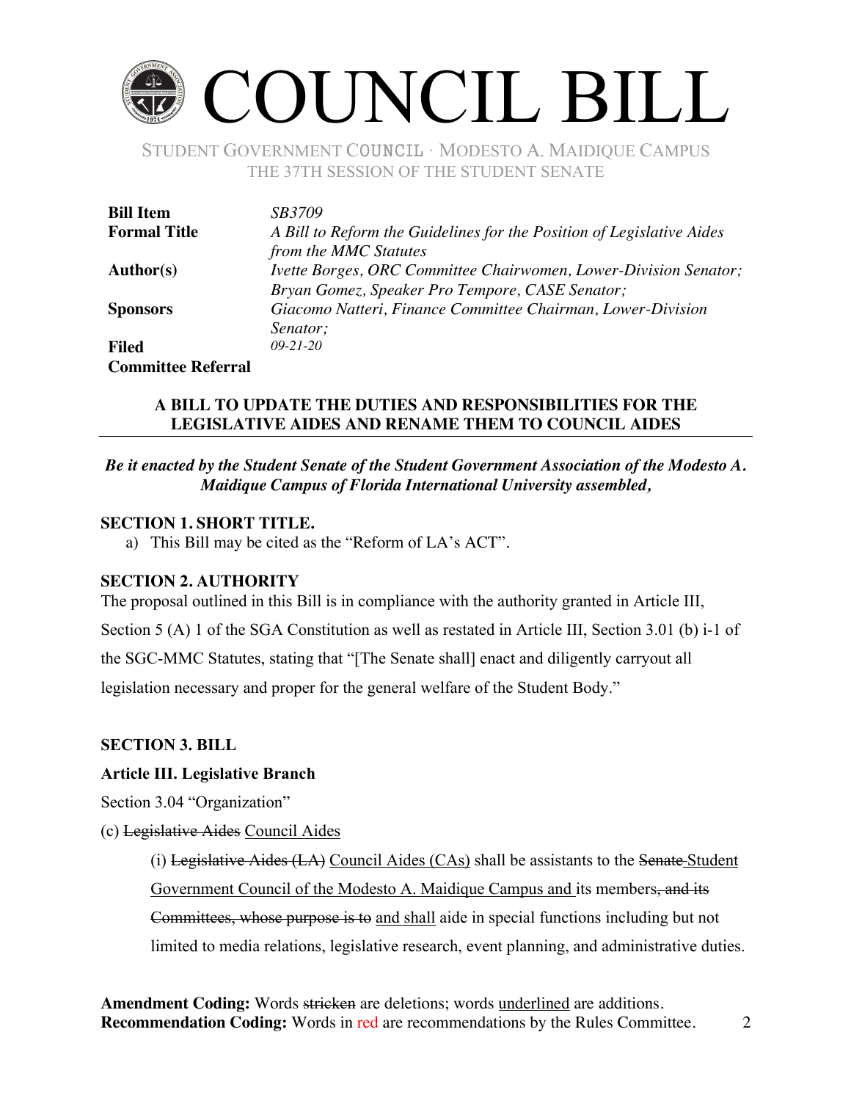## COUNCIL BILL

STUDENT GOVERNMENT COUNCIL ∙ MODESTO A. MAIDIQUE CAMPUS THE 37TH SESSION OF THE STUDENT SENATE

| <b>Bill Item</b>          | <i>SB3709</i>                                                         |
|---------------------------|-----------------------------------------------------------------------|
| <b>Formal Title</b>       | A Bill to Reform the Guidelines for the Position of Legislative Aides |
|                           | from the MMC Statutes                                                 |
| Author(s)                 | Ivette Borges, ORC Committee Chairwomen, Lower-Division Senator;      |
|                           | Bryan Gomez, Speaker Pro Tempore, CASE Senator;                       |
| <b>Sponsors</b>           | Giacomo Natteri, Finance Committee Chairman, Lower-Division           |
|                           | Senator;                                                              |
| <b>Filed</b>              | $09 - 21 - 20$                                                        |
| <b>Committee Referral</b> |                                                                       |

#### **A BILL TO UPDATE THE DUTIES AND RESPONSIBILITIES FOR THE LEGISLATIVE AIDES AND RENAME THEM TO COUNCIL AIDES**

#### *Be it enacted by the Student Senate of the Student Government Association of the Modesto A. Maidique Campus of Florida International University assembled,*

#### **SECTION 1. SHORT TITLE.**

a) This Bill may be cited as the "Reform of LA's ACT".

#### **SECTION 2. AUTHORITY**

The proposal outlined in this Bill is in compliance with the authority granted in Article III, Section 5 (A) 1 of the SGA Constitution as well as restated in Article III, Section 3.01 (b) i-1 of the SGC-MMC Statutes, stating that "[The Senate shall] enact and diligently carryout all legislation necessary and proper for the general welfare of the Student Body."

#### **SECTION 3. BILL**

#### **Article III. Legislative Branch**

Section 3.04 "Organization"

(c) Legislative Aides Council Aides

(i) Legislative Aides  $(LA)$  Council Aides  $(CAs)$  shall be assistants to the Senate Student Government Council of the Modesto A. Maidique Campus and its members, and its Committees, whose purpose is to and shall aide in special functions including but not limited to media relations, legislative research, event planning, and administrative duties.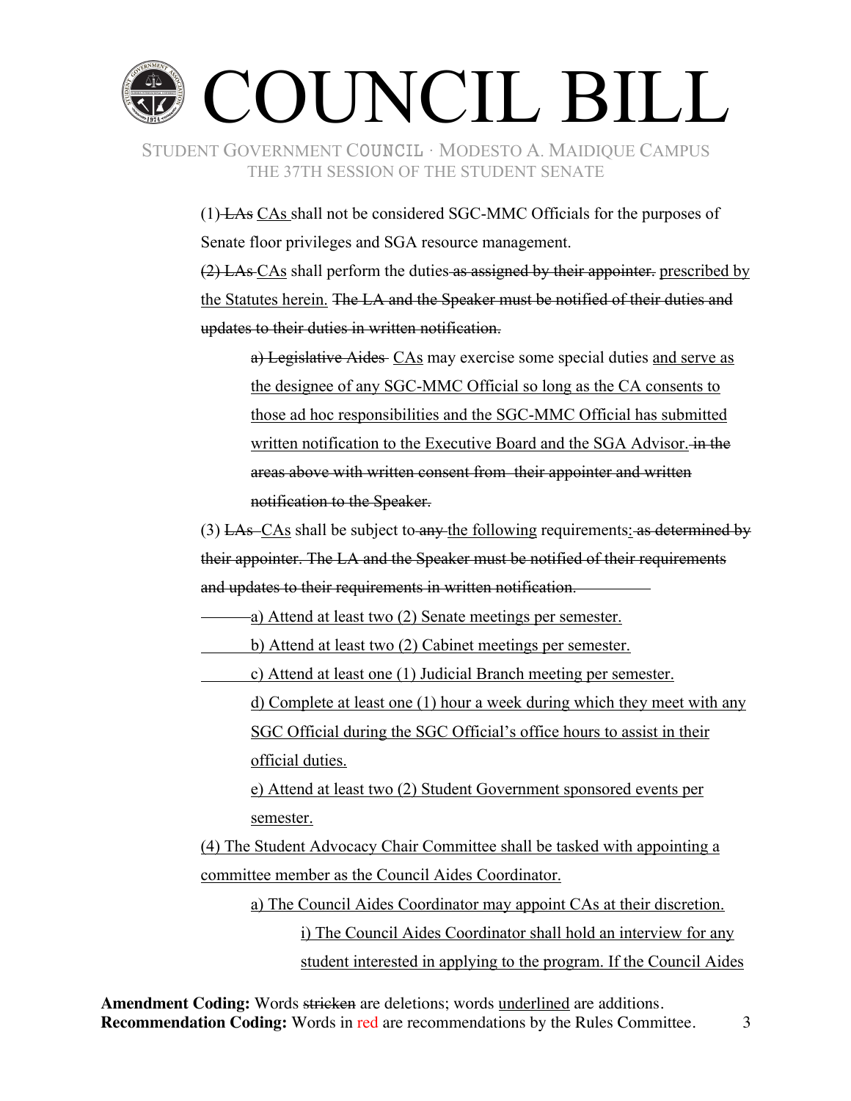# COUNCIL BILL

STUDENT GOVERNMENT COUNCIL ∙ MODESTO A. MAIDIQUE CAMPUS THE 37TH SESSION OF THE STUDENT SENATE

> (1) LAs CAs shall not be considered SGC-MMC Officials for the purposes of Senate floor privileges and SGA resource management.

(2) LAs CAs shall perform the duties as assigned by their appointer. prescribed by the Statutes herein. The LA and the Speaker must be notified of their duties and updates to their duties in written notification.

a) Legislative Aides CAs may exercise some special duties and serve as the designee of any SGC-MMC Official so long as the CA consents to those ad hoc responsibilities and the SGC-MMC Official has submitted written notification to the Executive Board and the SGA Advisor. in the areas above with written consent from their appointer and written notification to the Speaker.

 $(3)$  LAs–CAs shall be subject to any the following requirements: as determined by their appointer. The LA and the Speaker must be notified of their requirements and updates to their requirements in written notification.

a) Attend at least two (2) Senate meetings per semester.

b) Attend at least two (2) Cabinet meetings per semester.

c) Attend at least one (1) Judicial Branch meeting per semester.

d) Complete at least one (1) hour a week during which they meet with any SGC Official during the SGC Official's office hours to assist in their official duties.

e) Attend at least two (2) Student Government sponsored events per semester.

(4) The Student Advocacy Chair Committee shall be tasked with appointing a committee member as the Council Aides Coordinator.

a) The Council Aides Coordinator may appoint CAs at their discretion. i) The Council Aides Coordinator shall hold an interview for any student interested in applying to the program. If the Council Aides

Amendment Coding: Words stricken are deletions; words underlined are additions. **Recommendation Coding:** Words in red are recommendations by the Rules Committee. 3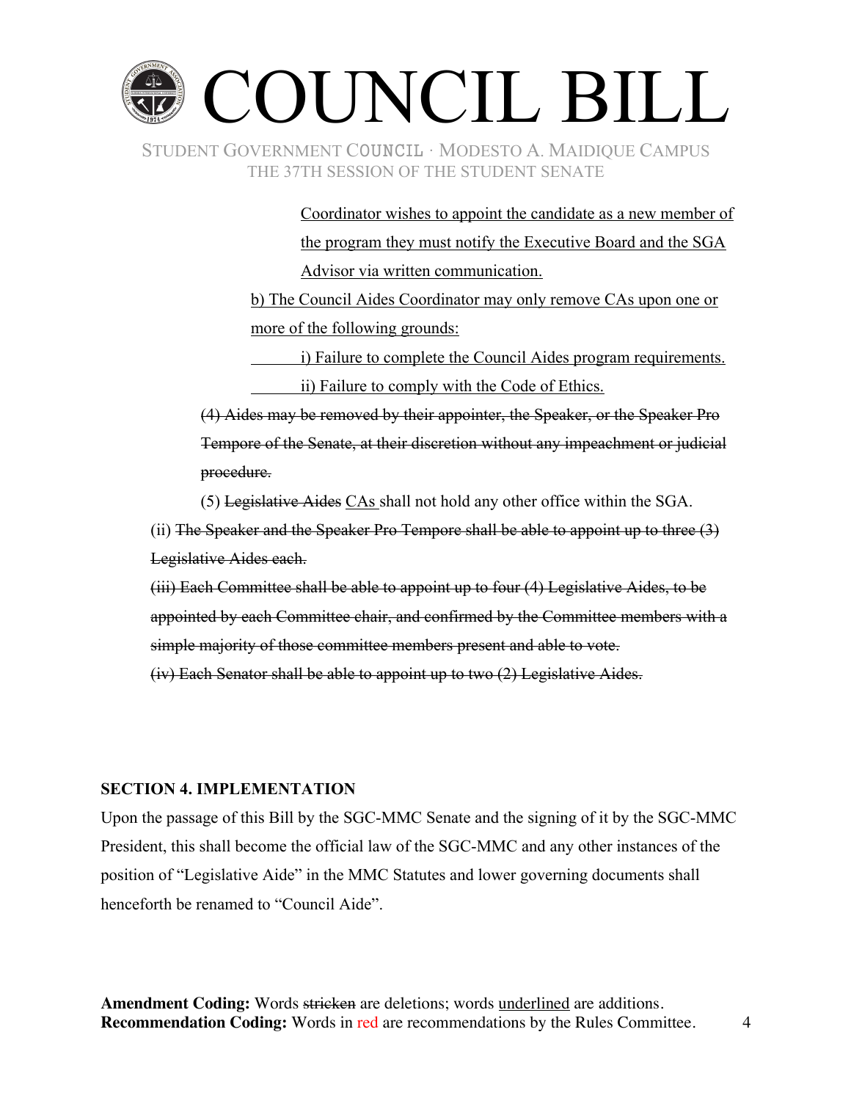### COUNCIL BILL STUDENT GOVERNMENT COUNCIL ∙ MODESTO A. MAIDIQUE CAMPUS THE 37TH SESSION OF THE STUDENT SENATE

Coordinator wishes to appoint the candidate as a new member of the program they must notify the Executive Board and the SGA Advisor via written communication.

b) The Council Aides Coordinator may only remove CAs upon one or more of the following grounds:

i) Failure to complete the Council Aides program requirements. ii) Failure to comply with the Code of Ethics.

(4) Aides may be removed by their appointer, the Speaker, or the Speaker Pro Tempore of the Senate, at their discretion without any impeachment or judicial procedure.

(5) Legislative Aides CAs shall not hold any other office within the SGA.

(ii) The Speaker and the Speaker Pro Tempore shall be able to appoint up to three  $(3)$ Legislative Aides each.

(iii) Each Committee shall be able to appoint up to four (4) Legislative Aides, to be appointed by each Committee chair, and confirmed by the Committee members with a simple majority of those committee members present and able to vote.

(iv) Each Senator shall be able to appoint up to two (2) Legislative Aides.

#### **SECTION 4. IMPLEMENTATION**

Upon the passage of this Bill by the SGC-MMC Senate and the signing of it by the SGC-MMC President, this shall become the official law of the SGC-MMC and any other instances of the position of "Legislative Aide" in the MMC Statutes and lower governing documents shall henceforth be renamed to "Council Aide".

Amendment Coding: Words stricken are deletions; words underlined are additions. **Recommendation Coding:** Words in red are recommendations by the Rules Committee. 4